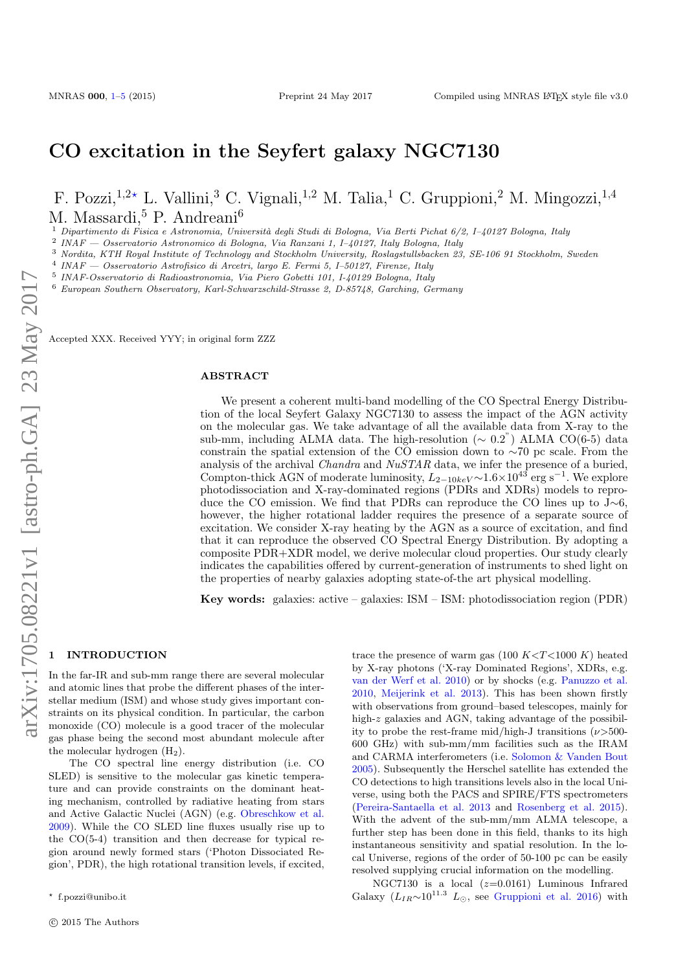# CO excitation in the Seyfert galaxy NGC7130

## F. Pozzi,  $1,2*$  L. Vallini,<sup>3</sup> C. Vignali,  $1,2$  M. Talia, <sup>1</sup> C. Gruppioni, <sup>2</sup> M. Mingozzi,  $1,4$ M. Massardi,<sup>5</sup> P. Andreani<sup>6</sup>

1 Dipartimento di Fisica e Astronomia, Università degli Studi di Bologna, Via Berti Pichat 6/2, I–40127 Bologna, Italy

2 INAF — Osservatorio Astronomico di Bologna, Via Ranzani 1, I–40127, Italy Bologna, Italy

<sup>3</sup> Nordita, KTH Royal Institute of Technology and Stockholm University, Roslagstullsbacken 23, SE-106 91 Stockholm, Sweden

4 INAF — Osservatorio Astrofisico di Arcetri, largo E. Fermi 5, I–50127, Firenze, Italy

5 INAF-Osservatorio di Radioastronomia, Via Piero Gobetti 101, I-40129 Bologna, Italy

<sup>6</sup> European Southern Observatory, Karl-Schwarzschild-Strasse 2, D-85748, Garching, Germany

Accepted XXX. Received YYY; in original form ZZZ

#### **ABSTRACT**

We present a coherent multi-band modelling of the CO Spectral Energy Distribution of the local Seyfert Galaxy NGC7130 to assess the impact of the AGN activity on the molecular gas. We take advantage of all the available data from X-ray to the sub-mm, including ALMA data. The high-resolution ( $\sim 0.2$ ") ALMA CO(6-5) data constrain the spatial extension of the CO emission down to ∼70 pc scale. From the analysis of the archival *Chandra* and  $NuSTAR$  data, we infer the presence of a buried, Compton-thick AGN of moderate luminosity,  $L_{2-10keV}$  ~1.6×10<sup>43</sup> erg s<sup>-1</sup>. We explore photodissociation and X-ray-dominated regions (PDRs and XDRs) models to reproduce the CO emission. We find that PDRs can reproduce the CO lines up to J∼6, however, the higher rotational ladder requires the presence of a separate source of excitation. We consider X-ray heating by the AGN as a source of excitation, and find that it can reproduce the observed CO Spectral Energy Distribution. By adopting a composite PDR+XDR model, we derive molecular cloud properties. Our study clearly indicates the capabilities offered by current-generation of instruments to shed light on the properties of nearby galaxies adopting state-of-the art physical modelling.

Key words: galaxies: active – galaxies: ISM – ISM: photodissociation region (PDR)

#### <span id="page-0-0"></span>**INTRODUCTION**

In the far-IR and sub-mm range there are several molecular and atomic lines that probe the different phases of the interstellar medium (ISM) and whose study gives important constraints on its physical condition. In particular, the carbon monoxide (CO) molecule is a good tracer of the molecular gas phase being the second most abundant molecule after the molecular hydrogen  $(H_2)$ .

The CO spectral line energy distribution (i.e. CO SLED) is sensitive to the molecular gas kinetic temperature and can provide constraints on the dominant heating mechanism, controlled by radiative heating from stars and Active Galactic Nuclei (AGN) (e.g. [Obreschkow et al.](#page-4-1) [2009\)](#page-4-1). While the CO SLED line fluxes usually rise up to the CO(5-4) transition and then decrease for typical region around newly formed stars ('Photon Dissociated Region', PDR), the high rotational transition levels, if excited,

trace the presence of warm gas (100  $K < T < 1000 K$ ) heated by X-ray photons ('X-ray Dominated Regions', XDRs, e.g. [van der Werf et al.](#page-4-2) [2010\)](#page-4-2) or by shocks (e.g. [Panuzzo et al.](#page-4-3) [2010,](#page-4-3) [Meijerink et al.](#page-4-4) [2013\)](#page-4-4). This has been shown firstly with observations from ground–based telescopes, mainly for high-z galaxies and AGN, taking advantage of the possibility to probe the rest-frame mid/high-J transitions  $(\nu > 500$ -600 GHz) with sub-mm/mm facilities such as the IRAM and CARMA interferometers (i.e. [Solomon & Vanden Bout](#page-4-5) [2005\)](#page-4-5). Subsequently the Herschel satellite has extended the CO detections to high transitions levels also in the local Universe, using both the PACS and SPIRE/FTS spectrometers [\(Pereira-Santaella et al.](#page-4-6) [2013](#page-4-6) and [Rosenberg et al.](#page-4-7) [2015\)](#page-4-7). With the advent of the sub-mm/mm ALMA telescope, a further step has been done in this field, thanks to its high instantaneous sensitivity and spatial resolution. In the local Universe, regions of the order of 50-100 pc can be easily resolved supplying crucial information on the modelling.

NGC7130 is a local  $(z=0.0161)$  Luminous Infrared Galaxy ( $L_{IR}$ ~10<sup>11.3</sup>  $L_{\odot}$ , see [Gruppioni et al.](#page-4-8) [2016\)](#page-4-8) with

<sup>?</sup> f.pozzi@unibo.it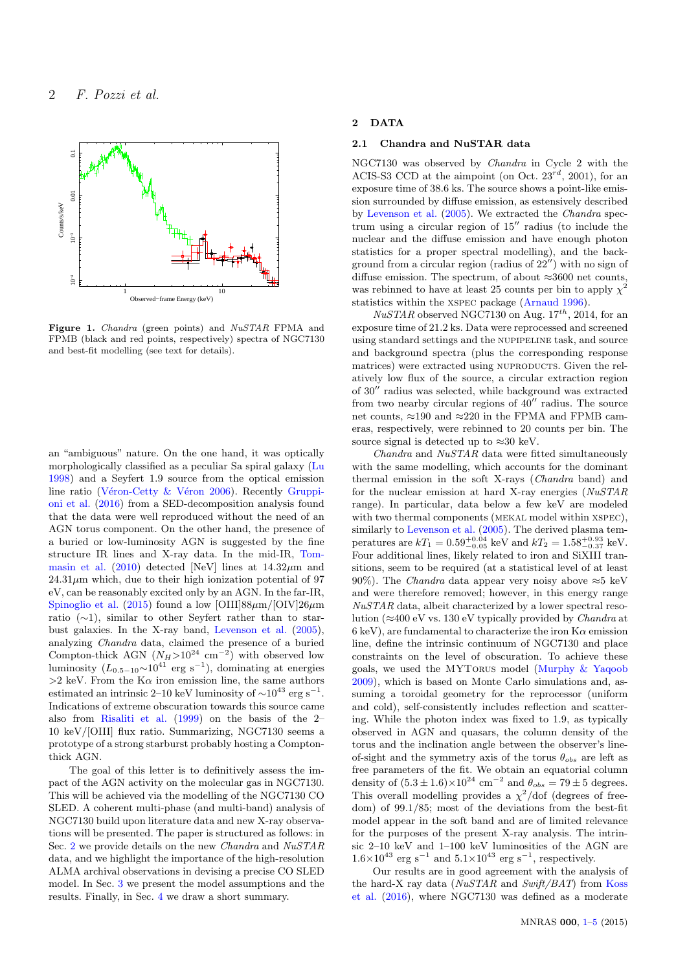

Figure 1. Chandra (green points) and NuSTAR FPMA and FPMB (black and red points, respectively) spectra of NGC7130 and best-fit modelling (see text for details).

an "ambiguous" nature. On the one hand, it was optically morphologically classified as a peculiar Sa spiral galaxy [\(Lu](#page-4-9) [1998\)](#page-4-9) and a Seyfert 1.9 source from the optical emission line ratio (Véron-Cetty & Véron [2006\)](#page-4-10). Recently [Gruppi](#page-4-8)[oni et al.](#page-4-8) [\(2016\)](#page-4-8) from a SED-decomposition analysis found that the data were well reproduced without the need of an AGN torus component. On the other hand, the presence of a buried or low-luminosity AGN is suggested by the fine structure IR lines and X-ray data. In the mid-IR, [Tom](#page-4-11)[masin et al.](#page-4-11) [\(2010\)](#page-4-11) detected [NeV] lines at  $14.32 \mu m$  and  $24.31\mu$ m which, due to their high ionization potential of 97 eV, can be reasonably excited only by an AGN. In the far-IR, [Spinoglio et al.](#page-4-12) [\(2015\)](#page-4-12) found a low [OIII]88 $\mu$ m/[OIV]26 $\mu$ m ratio (∼1), similar to other Seyfert rather than to starbust galaxies. In the X-ray band, [Levenson et al.](#page-4-13) [\(2005\)](#page-4-13), analyzing Chandra data, claimed the presence of a buried Compton-thick AGN  $(N_H>10^{24} \text{ cm}^{-2})$  with observed low luminosity  $(L_{0.5-10} \sim 10^{41} \text{ erg s}^{-1})$ , dominating at energies  $>2$  keV. From the K $\alpha$  iron emission line, the same authors estimated an intrinsic 2–10 keV luminosity of  $\sim$ 10<sup>43</sup> erg s<sup>-1</sup>. Indications of extreme obscuration towards this source came also from [Risaliti et al.](#page-4-14) [\(1999\)](#page-4-14) on the basis of the 2– 10 keV/[OIII] flux ratio. Summarizing, NGC7130 seems a prototype of a strong starburst probably hosting a Comptonthick AGN.

The goal of this letter is to definitively assess the impact of the AGN activity on the molecular gas in NGC7130. This will be achieved via the modelling of the NGC7130 CO SLED. A coherent multi-phase (and multi-band) analysis of NGC7130 build upon literature data and new X-ray observations will be presented. The paper is structured as follows: in Sec. [2](#page-1-0) we provide details on the new Chandra and NuSTAR data, and we highlight the importance of the high-resolution ALMA archival observations in devising a precise CO SLED model. In Sec. [3](#page-2-0) we present the model assumptions and the results. Finally, in Sec. [4](#page-4-15) we draw a short summary.

## <span id="page-1-0"></span>2 DATA

## <span id="page-1-1"></span>2.1 Chandra and NuSTAR data

NGC7130 was observed by Chandra in Cycle 2 with the ACIS-S3 CCD at the aimpoint (on Oct.  $23^{rd}$ , 2001), for an exposure time of 38.6 ks. The source shows a point-like emission surrounded by diffuse emission, as estensively described by [Levenson et al.](#page-4-13) [\(2005\)](#page-4-13). We extracted the Chandra spectrum using a circular region of  $15$ <sup>"</sup> radius (to include the nuclear and the diffuse emission and have enough photon statistics for a proper spectral modelling), and the background from a circular region (radius of  $22^{\prime\prime}$ ) with no sign of diffuse emission. The spectrum, of about  $\approx 3600$  net counts, was rebinned to have at least 25 counts per bin to apply  $\chi^2$ statistics within the xspec package [\(Arnaud](#page-4-16) [1996\)](#page-4-16).

 $NuSTAR$  observed NGC7130 on Aug.  $17^{th}$ , 2014, for an exposure time of 21.2 ks. Data were reprocessed and screened using standard settings and the nupipeline task, and source and background spectra (plus the corresponding response matrices) were extracted using NUPRODUCTS. Given the relatively low flux of the source, a circular extraction region of  $30''$  radius was selected, while background was extracted from two nearby circular regions of  $40''$  radius. The source net counts,  $\approx$ 190 and  $\approx$ 220 in the FPMA and FPMB cameras, respectively, were rebinned to 20 counts per bin. The source signal is detected up to  $\approx 30$  keV.

 $Chandra$  and  $NuSTAR$  data were fitted simultaneously with the same modelling, which accounts for the dominant thermal emission in the soft X-rays (Chandra band) and for the nuclear emission at hard X-ray energies (NuSTAR range). In particular, data below a few keV are modeled with two thermal components (MEKAL model within XSPEC), similarly to [Levenson et al.](#page-4-13)  $(2005)$ . The derived plasma temperatures are  $kT_1 = 0.59_{-0.05}^{+0.04}$  keV and  $kT_2 = 1.58_{-0.37}^{+0.93}$  keV. Four additional lines, likely related to iron and SiXIII transitions, seem to be required (at a statistical level of at least 90%). The *Chandra* data appear very noisy above  $\approx$ 5 keV and were therefore removed; however, in this energy range NuSTAR data, albeit characterized by a lower spectral resolution ( $\approx$ 400 eV vs. 130 eV typically provided by *Chandra* at 6 keV), are fundamental to characterize the iron  $K\alpha$  emission line, define the intrinsic continuum of NGC7130 and place constraints on the level of obscuration. To achieve these goals, we used the MYTorus model [\(Murphy & Yaqoob](#page-4-17) [2009\)](#page-4-17), which is based on Monte Carlo simulations and, assuming a toroidal geometry for the reprocessor (uniform and cold), self-consistently includes reflection and scattering. While the photon index was fixed to 1.9, as typically observed in AGN and quasars, the column density of the torus and the inclination angle between the observer's lineof-sight and the symmetry axis of the torus  $\theta_{obs}$  are left as free parameters of the fit. We obtain an equatorial column density of  $(5.3 \pm 1.6) \times 10^{24}$  cm<sup>-2</sup> and  $\theta_{obs} = 79 \pm 5$  degrees. This overall modelling provides a  $\chi^2$ /dof (degrees of freedom) of 99.1/85; most of the deviations from the best-fit model appear in the soft band and are of limited relevance for the purposes of the present X-ray analysis. The intrinsic 2–10 keV and 1–100 keV luminosities of the AGN are  $1.6\times10^{43}$  erg s<sup>-1</sup> and  $5.1\times10^{43}$  erg s<sup>-1</sup>, respectively.

Our results are in good agreement with the analysis of the hard-X ray data ( $NuSTAR$  and  $Swift/BAT$ ) from [Koss](#page-4-18) [et al.](#page-4-18) [\(2016\)](#page-4-18), where NGC7130 was defined as a moderate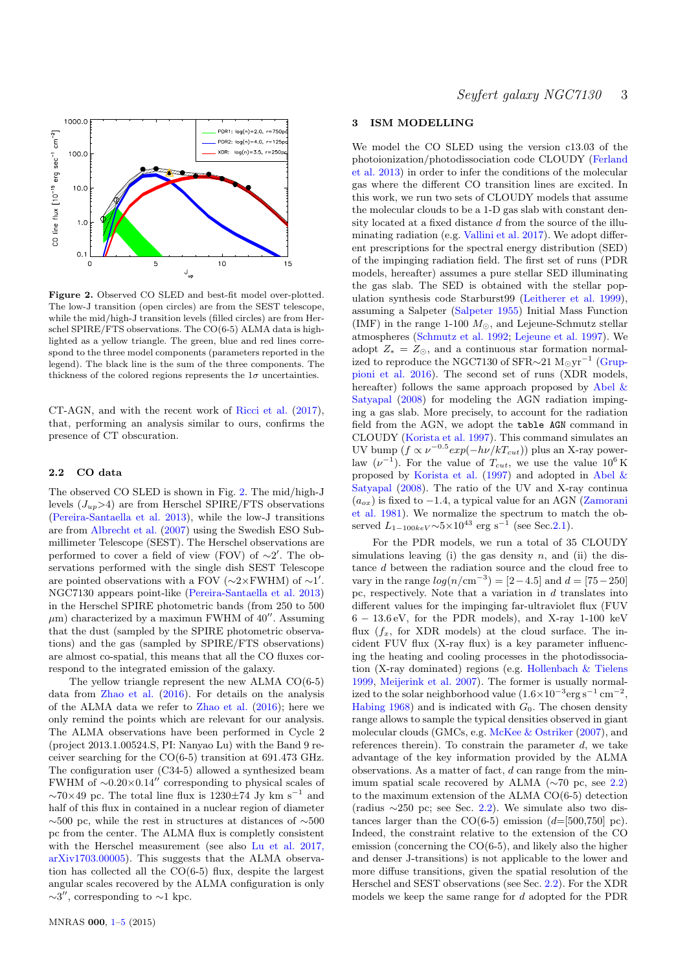

Figure 2. Observed CO SLED and best-fit model over-plotted. The low-J transition (open circles) are from the SEST telescope, while the mid/high-J transition levels (filled circles) are from Herschel SPIRE/FTS observations. The CO(6-5) ALMA data is highlighted as a yellow triangle. The green, blue and red lines correspond to the three model components (parameters reported in the legend). The black line is the sum of the three components. The thickness of the colored regions represents the  $1\sigma$  uncertainties.

CT-AGN, and with the recent work of [Ricci et al.](#page-4-19) [\(2017\)](#page-4-19), that, performing an analysis similar to ours, confirms the presence of CT obscuration.

#### <span id="page-2-2"></span>2.2 CO data

The observed CO SLED is shown in Fig. [2.](#page-2-1) The mid/high-J levels  $(J_{up}>4)$  are from Herschel SPIRE/FTS observations [\(Pereira-Santaella et al.](#page-4-6) [2013\)](#page-4-6), while the low-J transitions are from [Albrecht et al.](#page-4-20) [\(2007\)](#page-4-20) using the Swedish ESO Submillimeter Telescope (SEST). The Herschel observations are performed to cover a field of view (FOV) of  $\sim 2'$ . The observations performed with the single dish SEST Telescope are pointed observations with a FOV ( $\sim$ 2×FWHM) of  $\sim$ 1'. NGC7130 appears point-like [\(Pereira-Santaella et al.](#page-4-6) [2013\)](#page-4-6) in the Herschel SPIRE photometric bands (from 250 to 500  $\mu$ m) characterized by a maximun FWHM of 40''. Assuming that the dust (sampled by the SPIRE photometric observations) and the gas (sampled by SPIRE/FTS observations) are almost co-spatial, this means that all the CO fluxes correspond to the integrated emission of the galaxy.

The yellow triangle represent the new ALMA CO(6-5) data from [Zhao et al.](#page-4-21) [\(2016\)](#page-4-21). For details on the analysis of the ALMA data we refer to [Zhao et al.](#page-4-21) [\(2016\)](#page-4-21); here we only remind the points which are relevant for our analysis. The ALMA observations have been performed in Cycle 2 (project 2013.1.00524.S, PI: Nanyao Lu) with the Band 9 receiver searching for the CO(6-5) transition at 691.473 GHz. The configuration user (C34-5) allowed a synthesized beam FWHM of  $\sim 0.20 \times 0.14$ <sup>"</sup> corresponding to physical scales of  $\sim$ 70×49 pc. The total line flux is 1230 $\pm$ 74 Jy km s<sup>-1</sup> and half of this flux in contained in a nuclear region of diameter ∼500 pc, while the rest in structures at distances of ∼500 pc from the center. The ALMA flux is completly consistent with the Herschel measurement (see also [Lu et al.](#page-4-22) [2017,](#page-4-22) [arXiv1703.00005\)](#page-4-22). This suggests that the ALMA observation has collected all the CO(6-5) flux, despite the largest angular scales recovered by the ALMA configuration is only  $\sim$ 3", corresponding to  $\sim$ 1 kpc.

### <span id="page-2-0"></span>3 ISM MODELLING

<span id="page-2-1"></span>We model the CO SLED using the version c13.03 of the photoionization/photodissociation code CLOUDY [\(Ferland](#page-4-23) [et al.](#page-4-23) [2013\)](#page-4-23) in order to infer the conditions of the molecular gas where the different CO transition lines are excited. In this work, we run two sets of CLOUDY models that assume the molecular clouds to be a 1-D gas slab with constant density located at a fixed distance d from the source of the illuminating radiation (e.g. [Vallini et al.](#page-4-24) [2017\)](#page-4-24). We adopt different prescriptions for the spectral energy distribution (SED) of the impinging radiation field. The first set of runs (PDR models, hereafter) assumes a pure stellar SED illuminating the gas slab. The SED is obtained with the stellar population synthesis code Starburst99 [\(Leitherer et al.](#page-4-25) [1999\)](#page-4-25), assuming a Salpeter [\(Salpeter](#page-4-26) [1955\)](#page-4-26) Initial Mass Function (IMF) in the range 1-100  $M_{\odot}$ , and Lejeune-Schmutz stellar atmospheres [\(Schmutz et al.](#page-4-27) [1992;](#page-4-27) [Lejeune et al.](#page-4-28) [1997\)](#page-4-28). We adopt  $Z_* = Z_{\odot}$ , and a continuous star formation normalized to reproduce the NGC7130 of SFR $\sim$ 21 M<sub>☉</sub>yr<sup>-1</sup> [\(Grup](#page-4-8)[pioni et al.](#page-4-8) [2016\)](#page-4-8). The second set of runs (XDR models, hereafter) follows the same approach proposed by [Abel &](#page-4-29) [Satyapal](#page-4-29) [\(2008\)](#page-4-29) for modeling the AGN radiation impinging a gas slab. More precisely, to account for the radiation field from the AGN, we adopt the table AGN command in CLOUDY [\(Korista et al.](#page-4-30) [1997\)](#page-4-30). This command simulates an UV bump  $(f \propto \nu^{-0.5} exp(-h\nu/kT_{cut}))$  plus an X-ray powerlaw  $(\nu^{-1})$ . For the value of  $T_{cut}$ , we use the value  $10^6$  K proposed by [Korista et al.](#page-4-30) [\(1997\)](#page-4-30) and adopted in [Abel &](#page-4-29) [Satyapal](#page-4-29) [\(2008\)](#page-4-29). The ratio of the UV and X-ray continua  $(a_{ox})$  is fixed to −1.4, a typical value for an AGN [\(Zamorani](#page-4-31) [et al.](#page-4-31) [1981\)](#page-4-31). We normalize the spectrum to match the observed  $L_{1-100keV}$ ~5×10<sup>43</sup> erg s<sup>-1</sup> (see Sec[.2.1\)](#page-1-1).

For the PDR models, we run a total of 35 CLOUDY simulations leaving (i) the gas density  $n$ , and (ii) the distance d between the radiation source and the cloud free to vary in the range  $log(n / \text{cm}^{-3}) = [2 - 4.5]$  and  $d = [75 - 250]$ pc, respectively. Note that a variation in  $d$  translates into different values for the impinging far-ultraviolet flux (FUV  $6 - 13.6$  eV, for the PDR models), and X-ray 1-100 keV flux  $(f_x,$  for XDR models) at the cloud surface. The incident FUV flux (X-ray flux) is a key parameter influencing the heating and cooling processes in the photodissociation (X-ray dominated) regions (e.g. [Hollenbach & Tielens](#page-4-32) [1999,](#page-4-32) [Meijerink et al.](#page-4-33) [2007\)](#page-4-33). The former is usually normalized to the solar neighborhood value  $(1.6\times10^{-3}\text{erg s}^{-1} \text{ cm}^{-2}$ , [Habing](#page-4-34) [1968\)](#page-4-34) and is indicated with  $G_0$ . The chosen density range allows to sample the typical densities observed in giant molecular clouds (GMCs, e.g. [McKee & Ostriker](#page-4-35) [\(2007\)](#page-4-35), and references therein). To constrain the parameter  $d$ , we take advantage of the key information provided by the ALMA observations. As a matter of fact, d can range from the minimum spatial scale recovered by ALMA ( $\sim$ 70 pc, see [2.2\)](#page-2-2) to the maximum extension of the ALMA CO(6-5) detection (radius  $\sim$ 250 pc; see Sec. [2.2\)](#page-2-2). We simulate also two distances larger than the  $CO(6-5)$  emission  $(d=[500,750]$  pc). Indeed, the constraint relative to the extension of the CO emission (concerning the CO(6-5), and likely also the higher and denser J-transitions) is not applicable to the lower and more diffuse transitions, given the spatial resolution of the Herschel and SEST observations (see Sec. [2.2\)](#page-2-2). For the XDR models we keep the same range for d adopted for the PDR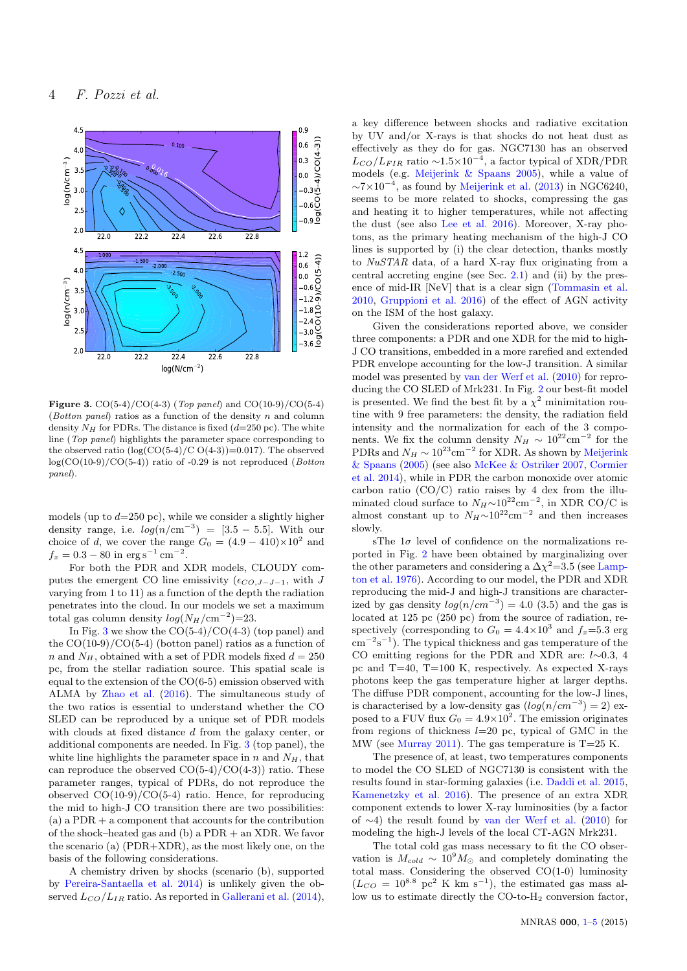

<span id="page-3-0"></span>**Figure 3.** CO(5-4)/CO(4-3) (*Top panel*) and CO(10-9)/CO(5-4) (Botton panel) ratios as a function of the density  $n$  and column density  $N_H$  for PDRs. The distance is fixed  $(d=250 \text{ pc})$ . The white line (Top panel) highlights the parameter space corresponding to the observed ratio  $(\log(CO(5-4)/C O(4-3))=0.017)$ . The observed  $log(CO(10-9)/CO(5-4))$  ratio of  $-0.29$  is not reproduced (*Botton* panel).

models (up to  $d=250$  pc), while we consider a slightly higher density range, i.e.  $log(n/cm^{-3}) = [3.5 - 5.5]$ . With our choice of d, we cover the range  $G_0 = (4.9 - 410) \times 10^2$  and  $f_x = 0.3 - 80$  in  $\text{erg s}^{-1} \text{ cm}^{-2}$ .

For both the PDR and XDR models, CLOUDY computes the emergent CO line emissivity ( $\epsilon_{CO,J-J-1}$ , with J varying from 1 to 11) as a function of the depth the radiation penetrates into the cloud. In our models we set a maximum total gas column density  $log(N_H/cm^{-2})=23$ .

In Fig. [3](#page-3-0) we show the  $CO(5-4)/CO(4-3)$  (top panel) and the  $CO(10-9)/CO(5-4)$  (botton panel) ratios as a function of n and  $N_H$ , obtained with a set of PDR models fixed  $d = 250$ pc, from the stellar radiation source. This spatial scale is equal to the extension of the CO(6-5) emission observed with ALMA by [Zhao et al.](#page-4-21) [\(2016\)](#page-4-21). The simultaneous study of the two ratios is essential to understand whether the CO SLED can be reproduced by a unique set of PDR models with clouds at fixed distance d from the galaxy center, or additional components are needed. In Fig. [3](#page-3-0) (top panel), the white line highlights the parameter space in n and  $N_H$ , that can reproduce the observed  $CO(5-4)/CO(4-3)$  ratio. These parameter ranges, typical of PDRs, do not reproduce the observed  $CO(10-9)/CO(5-4)$  ratio. Hence, for reproducing the mid to high-J CO transition there are two possibilities:  $(a)$  a PDR  $+$  a component that accounts for the contribution of the shock–heated gas and (b) a PDR + an XDR. We favor the scenario (a) (PDR+XDR), as the most likely one, on the basis of the following considerations.

A chemistry driven by shocks (scenario (b), supported by [Pereira-Santaella et al.](#page-4-36) [2014\)](#page-4-36) is unlikely given the observed  $L_{CO}/L_{IR}$  ratio. As reported in [Gallerani et al.](#page-4-37) [\(2014\)](#page-4-37),

a key difference between shocks and radiative excitation by UV and/or X-rays is that shocks do not heat dust as effectively as they do for gas. NGC7130 has an observed  $L_{CO}/L_{FIR}$  ratio ~1.5×10<sup>-4</sup>, a factor typical of XDR/PDR models (e.g. [Meijerink & Spaans](#page-4-38) [2005\)](#page-4-38), while a value of  $\sim$ 7×10<sup>-4</sup>, as found by [Meijerink et al.](#page-4-4) [\(2013\)](#page-4-4) in NGC6240, seems to be more related to shocks, compressing the gas and heating it to higher temperatures, while not affecting the dust (see also [Lee et al.](#page-4-39) [2016\)](#page-4-39). Moreover, X-ray photons, as the primary heating mechanism of the high-J CO lines is supported by (i) the clear detection, thanks mostly to NuSTAR data, of a hard X-ray flux originating from a central accreting engine (see Sec. [2.1\)](#page-1-1) and (ii) by the presence of mid-IR [NeV] that is a clear sign [\(Tommasin et al.](#page-4-11) [2010,](#page-4-11) [Gruppioni et al.](#page-4-8) [2016\)](#page-4-8) of the effect of AGN activity on the ISM of the host galaxy.

Given the considerations reported above, we consider three components: a PDR and one XDR for the mid to high-J CO transitions, embedded in a more rarefied and extended PDR envelope accounting for the low-J transition. A similar model was presented by [van der Werf et al.](#page-4-2) [\(2010\)](#page-4-2) for reproducing the CO SLED of Mrk231. In Fig. [2](#page-2-1) our best-fit model is presented. We find the best fit by a  $\chi^2$  minimitation routine with 9 free parameters: the density, the radiation field intensity and the normalization for each of the 3 components. We fix the column density  $N_H \sim 10^{22} \text{cm}^{-2}$  for the PDRs and  $N_H \sim 10^{23}$ cm<sup>-2</sup> for XDR. As shown by [Meijerink](#page-4-38) [& Spaans](#page-4-38) [\(2005\)](#page-4-38) (see also [McKee & Ostriker](#page-4-35) [2007,](#page-4-35) [Cormier](#page-4-40) [et al.](#page-4-40) [2014\)](#page-4-40), while in PDR the carbon monoxide over atomic carbon ratio (CO/C) ratio raises by 4 dex from the illuminated cloud surface to  $N_H \sim 10^{22} \text{cm}^{-2}$ , in XDR CO/C is almost constant up to  $N_H \sim 10^{22}$ cm<sup>-2</sup> and then increases slowly.

sThe  $1\sigma$  level of confidence on the normalizations reported in Fig. [2](#page-2-1) have been obtained by marginalizing over the other parameters and considering a  $\Delta \chi^2$ =3.5 (see [Lamp](#page-4-41)[ton et al.](#page-4-41) [1976\)](#page-4-41). According to our model, the PDR and XDR reproducing the mid-J and high-J transitions are characterized by gas density  $log(n/cm^{-3}) = 4.0$  (3.5) and the gas is located at 125 pc (250 pc) from the source of radiation, respectively (corresponding to  $G_0 = 4.4 \times 10^3$  and  $f_x = 5.3$  erg cm<sup>−</sup><sup>2</sup> s −1 ). The typical thickness and gas temperature of the CO emitting regions for the PDR and XDR are: l∼0.3, 4 pc and T=40, T=100 K, respectively. As expected X-rays photons keep the gas temperature higher at larger depths. The diffuse PDR component, accounting for the low-J lines, is characterised by a low-density gas  $(log(n/cm^{-3}) = 2)$  exposed to a FUV flux  $G_0 = 4.9 \times 10^2$ . The emission originates from regions of thickness  $l=20$  pc, typical of GMC in the MW (see [Murray](#page-4-42) [2011\)](#page-4-42). The gas temperature is  $T=25$  K.

The presence of, at least, two temperatures components to model the CO SLED of NGC7130 is consistent with the results found in star-forming galaxies (i.e. [Daddi et al.](#page-4-43) [2015,](#page-4-43) [Kamenetzky et al.](#page-4-44) [2016\)](#page-4-44). The presence of an extra XDR component extends to lower X-ray luminosities (by a factor of ∼4) the result found by [van der Werf et al.](#page-4-2) [\(2010\)](#page-4-2) for modeling the high-J levels of the local CT-AGN Mrk231.

The total cold gas mass necessary to fit the CO observation is  $M_{cold} \sim 10^{9} M_{\odot}$  and completely dominating the total mass. Considering the observed CO(1-0) luminosity  $(L_{CO} = 10^{8.8} \text{ pc}^2 \text{ K km s}^{-1})$ , the estimated gas mass allow us to estimate directly the CO-to-H<sub>2</sub> conversion factor.